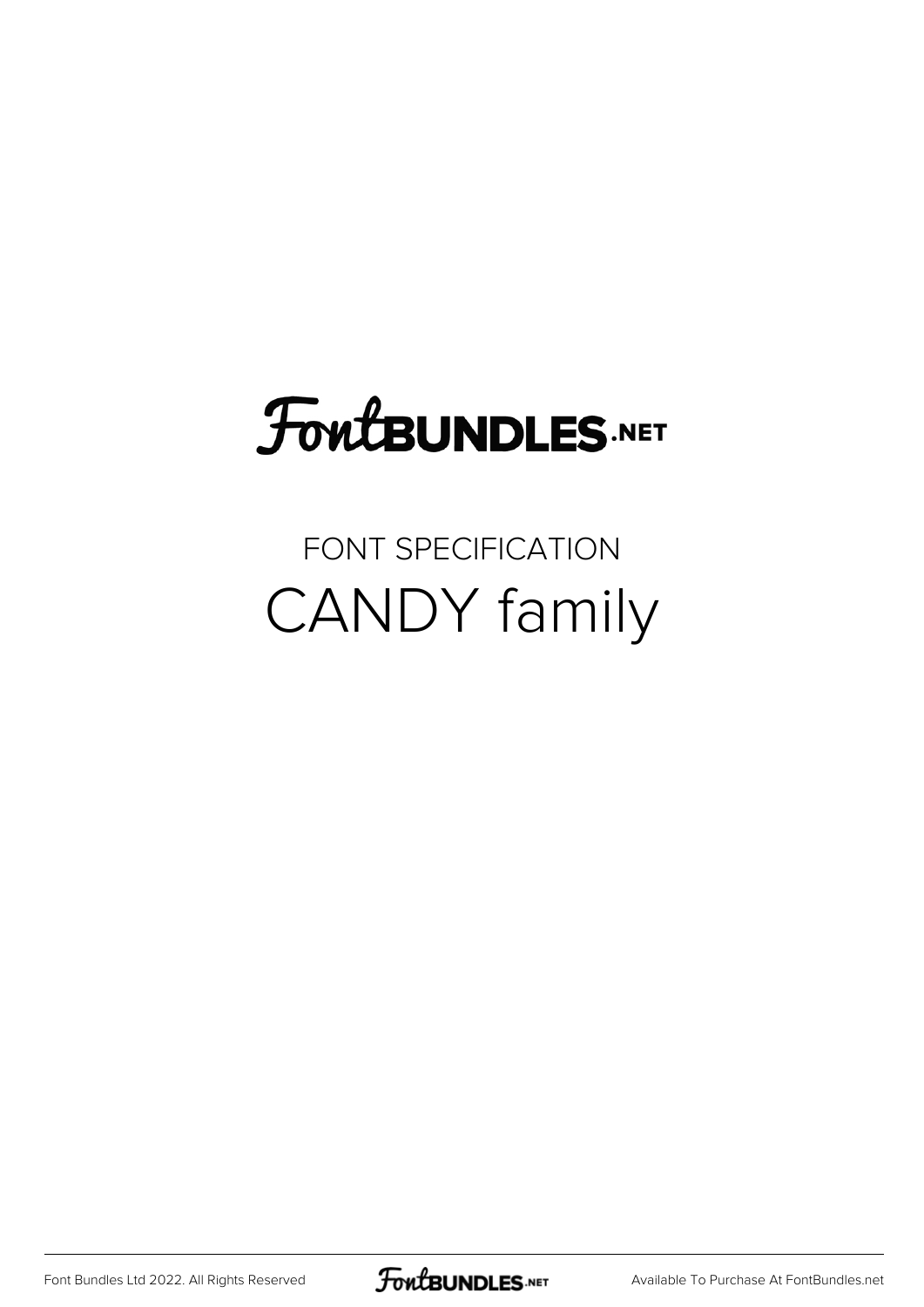### FoutBUNDLES.NET

#### FONT SPECIFICATION CANDY family

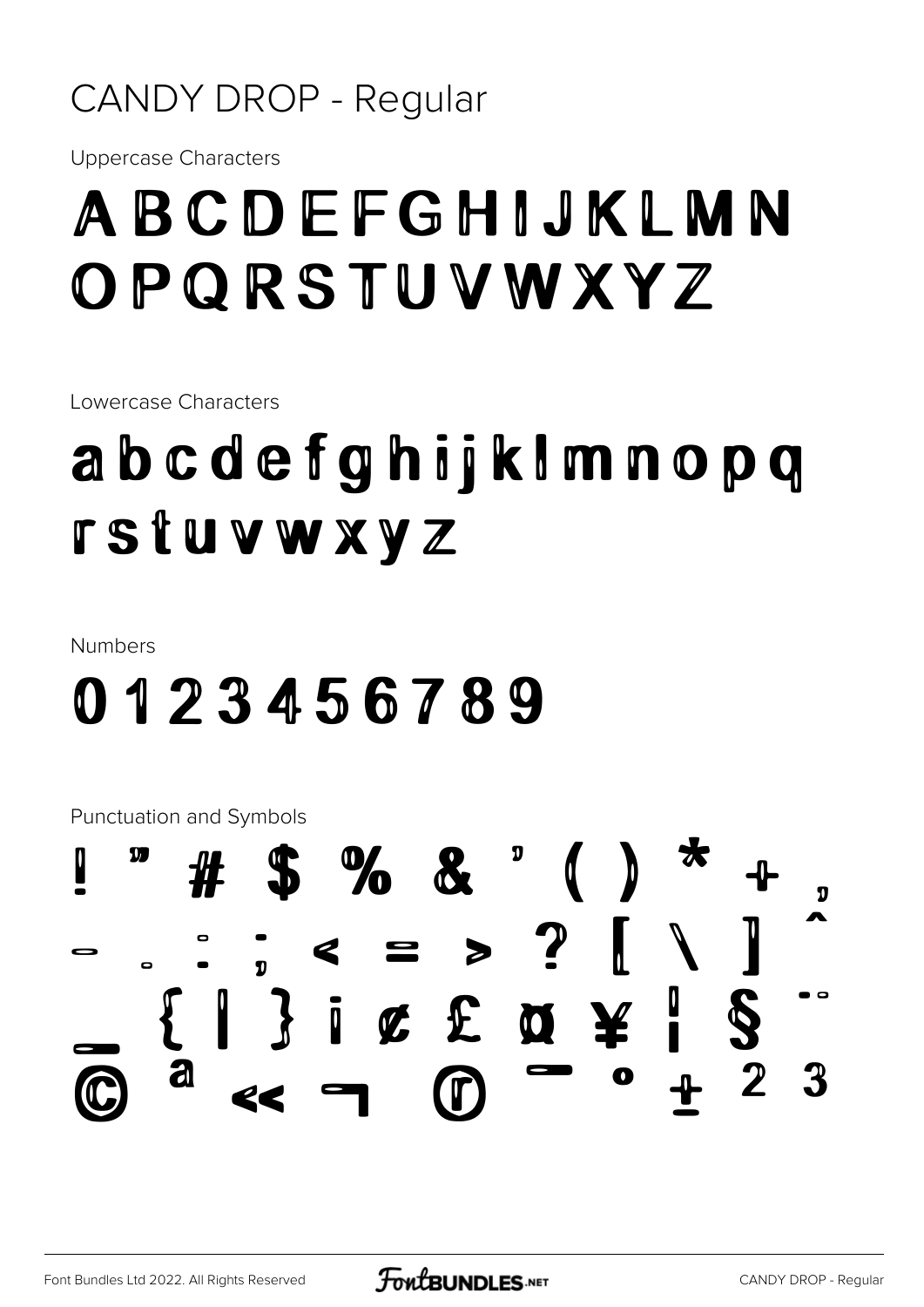#### **CANDY DROP - Regular**

**Uppercase Characters** 

#### ABCDEFGHIJKLMN OPQRSTUVWXYZ

Lowercase Characters

### abcdefghijkImnopq **rstuvwxyz**

**Numbers** 

#### 0123456789

Punctuation and Symbols

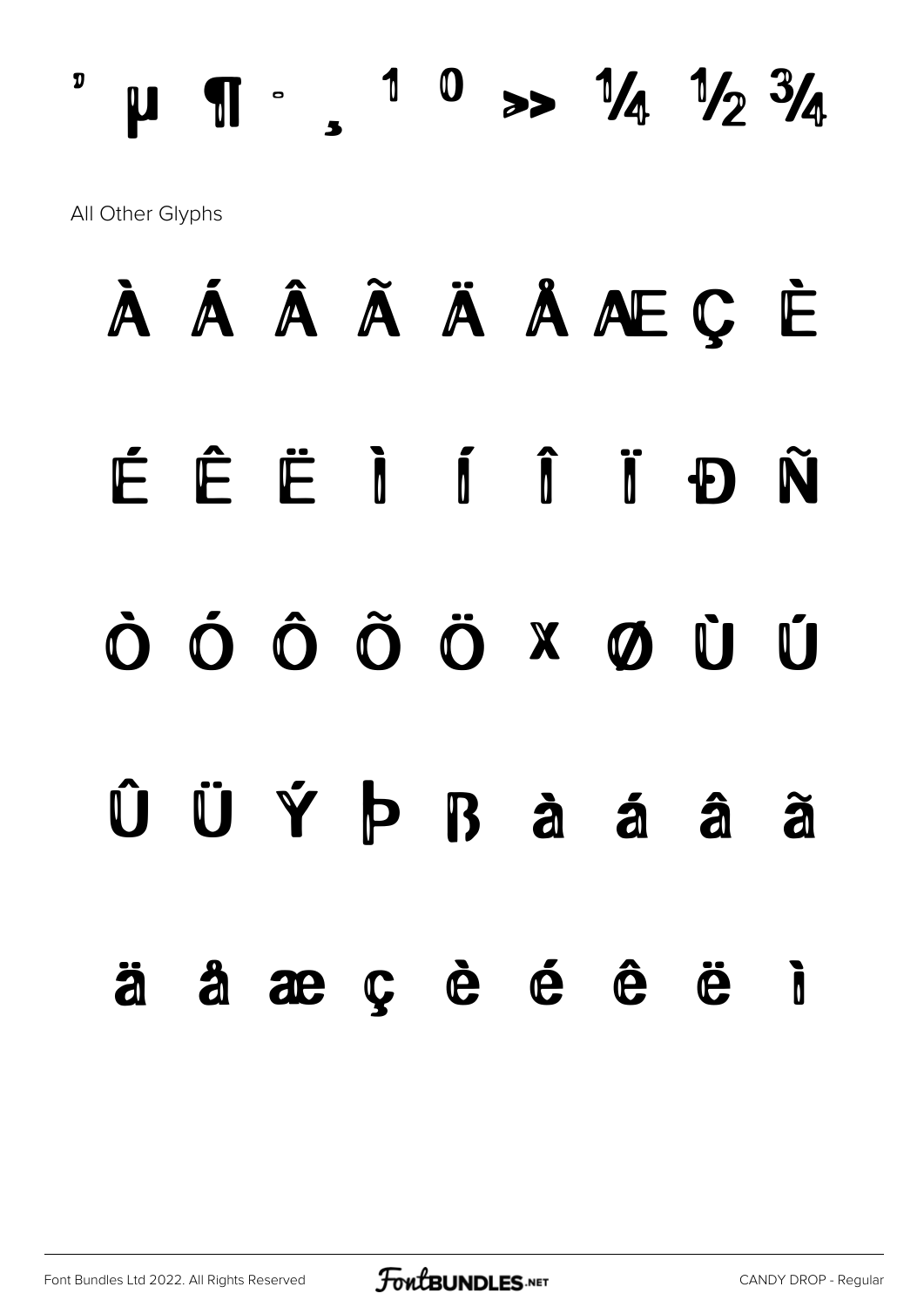$^{\circ}$  µ  $\P$   $\cdot$   $\cdot$   $^{\circ}$   $^{\circ}$   $\cdot$   $^{\circ}$   $\frac{1}{4}$   $^{\circ}$   $\frac{1}{4}$   $^{\circ}$   $\frac{1}{4}$   $^{\circ}$   $\frac{3}{4}$ All Other Glyphs

# À Á Â Ã Ä Å Æ Ç È É Ê Ë Ì Í Î Ï Ð Ñ Ò Ó Ô Õ Ö × Ø Ù Ú Û Ü Ý Þ ß à á â ã ä å æ ç è é ê ë ì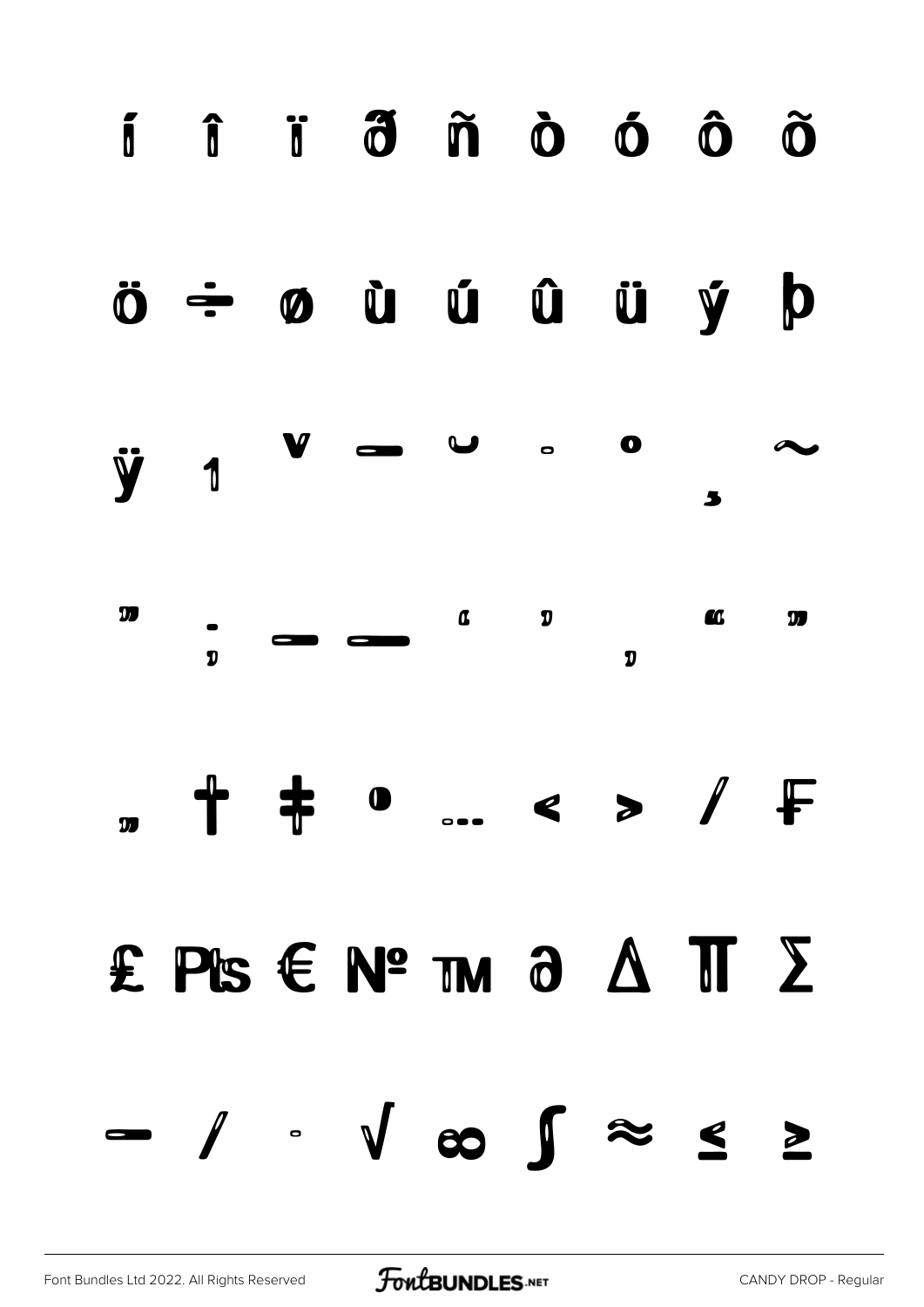

#### ö ÷ ø ù ú û ü ý þ





# " † ‡ • … ‹ › ⁄ ₣

### ₤ ₧ € № ™ ∂ ∆ ∏ ∑

− ∕ ∙ √ ∞ ∫ ≈ ≤ ≥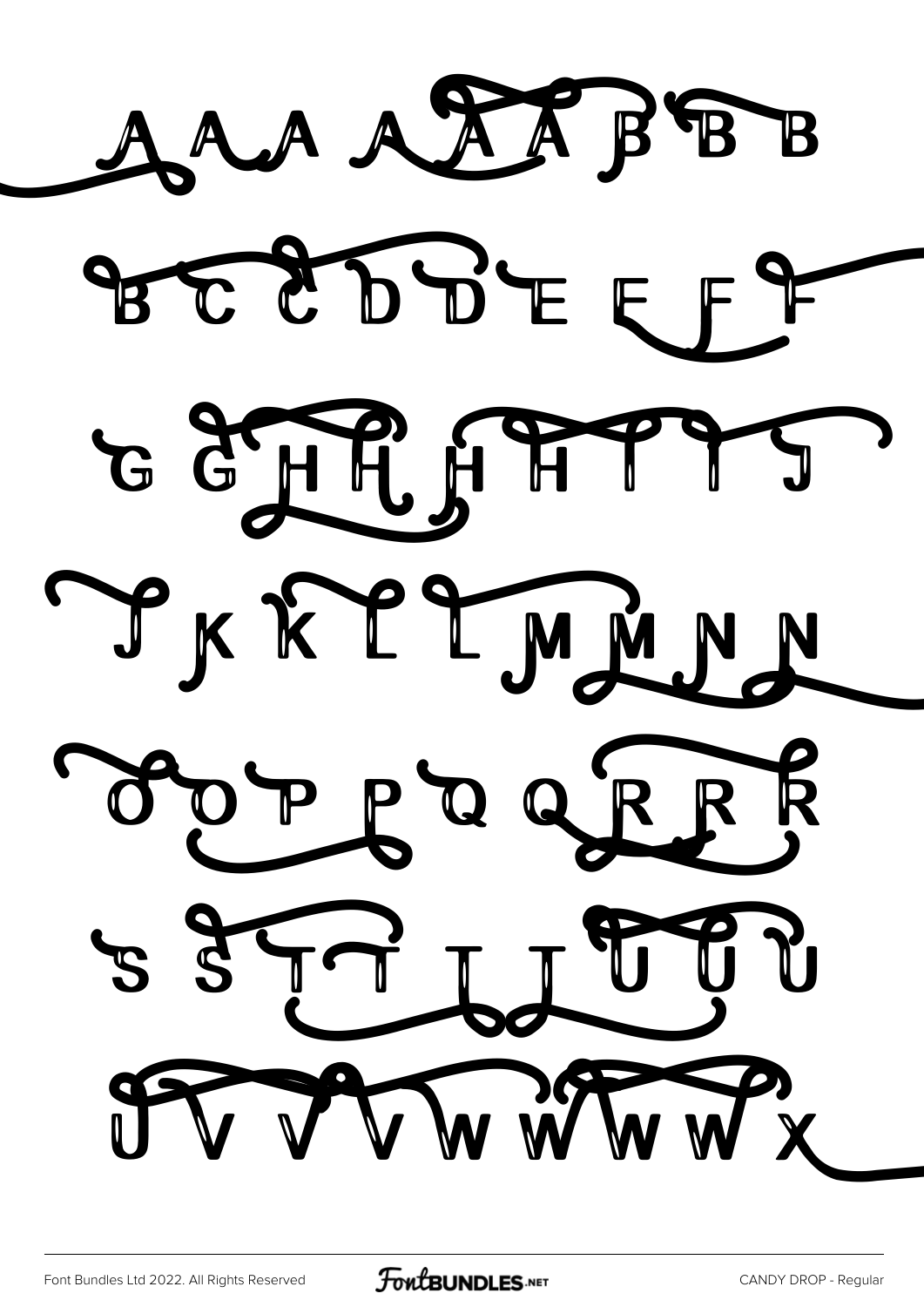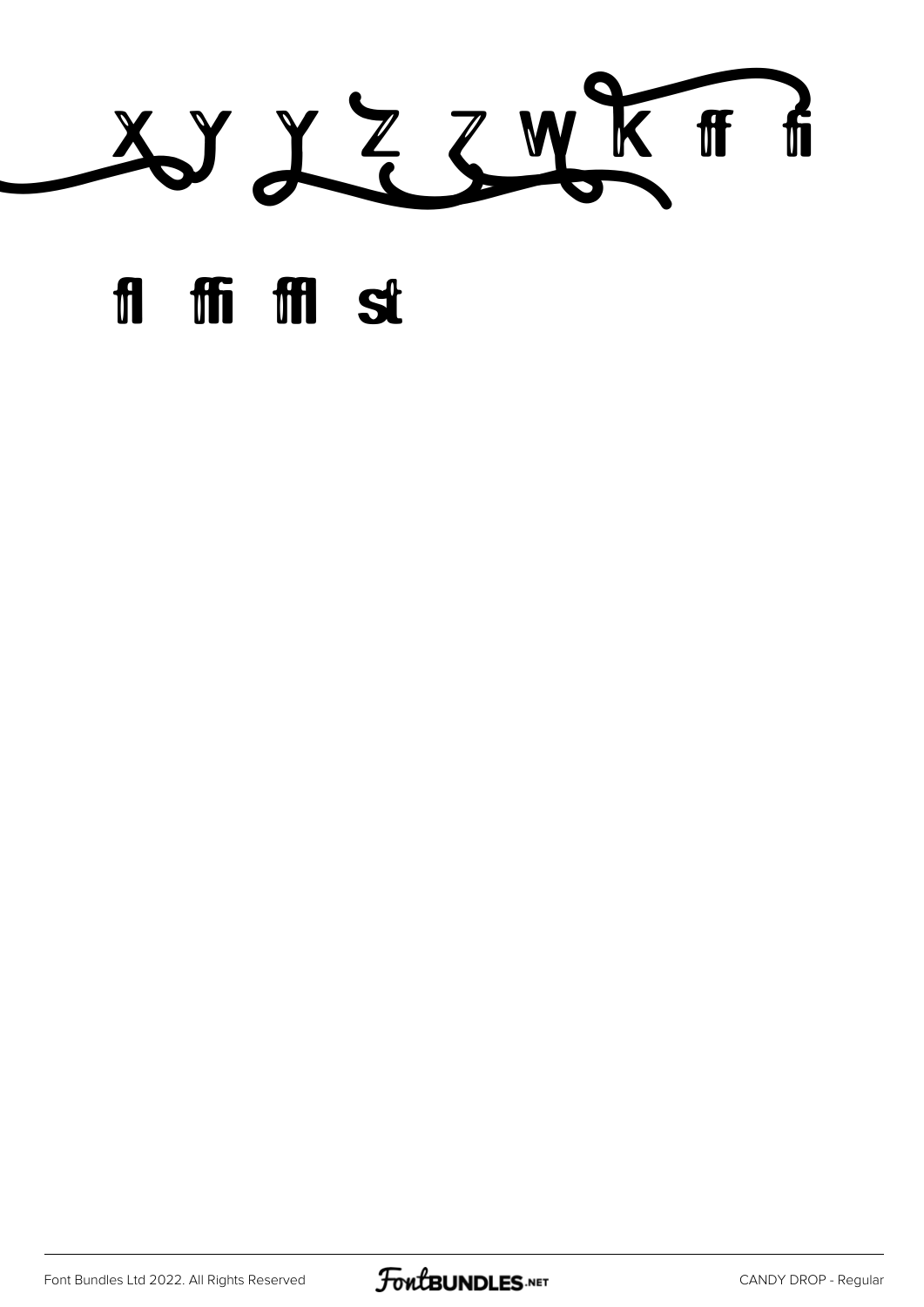

#### fl ffi ffl st

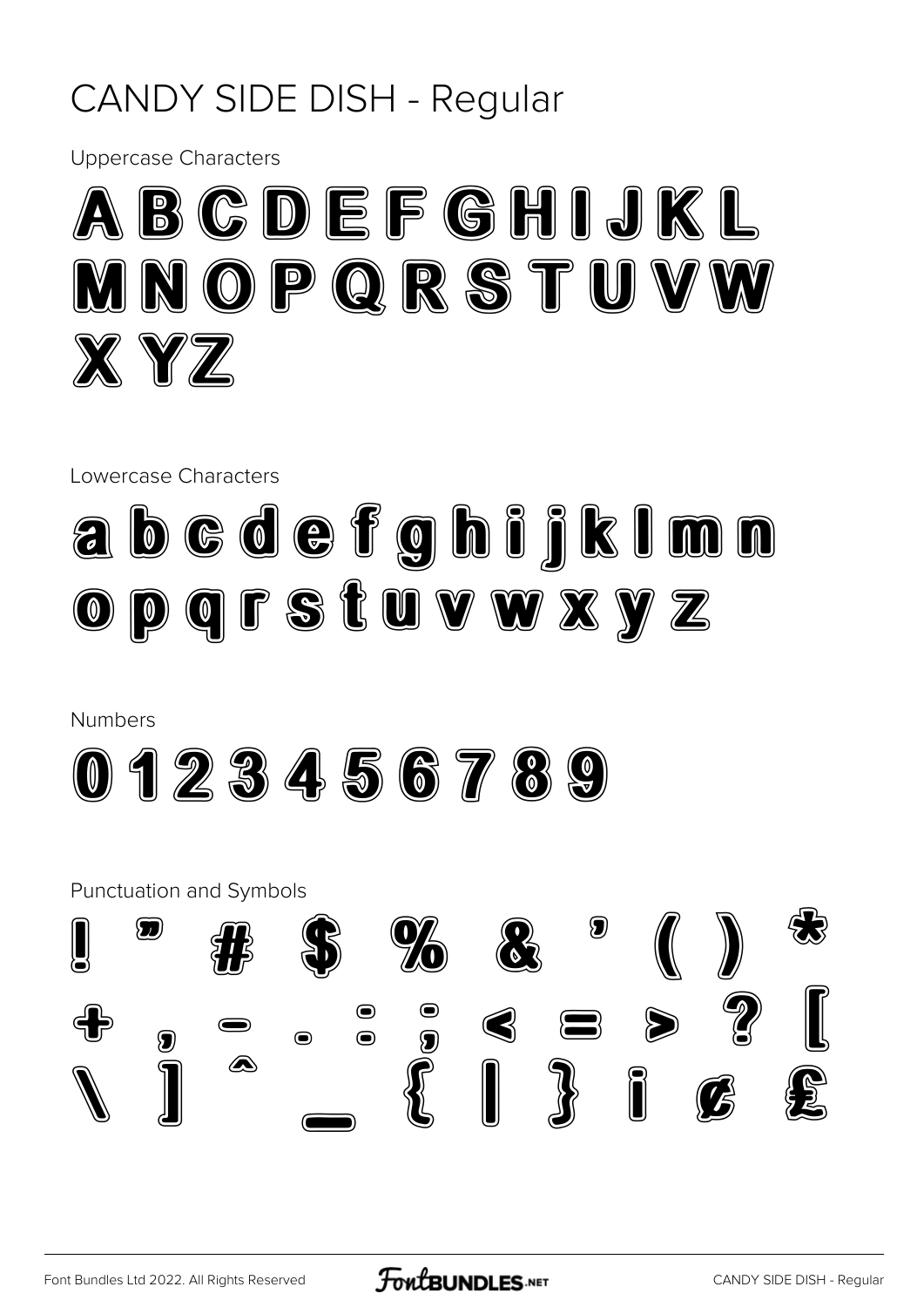#### **CANDY SIDE DISH - Regular**

**Uppercase Characters** 



Lowercase Characters



**Numbers** 



**Punctuation and Symbols**  $\bf \Omega$ 96  $\bigcirc$  $\bullet$  $\mathbf{S}$   $\mathbf{S}$  $\bigotimes$  $\ddot{\textbf{z}}$  $\bullet$  $\bigcirc$ 9 ⚠ Î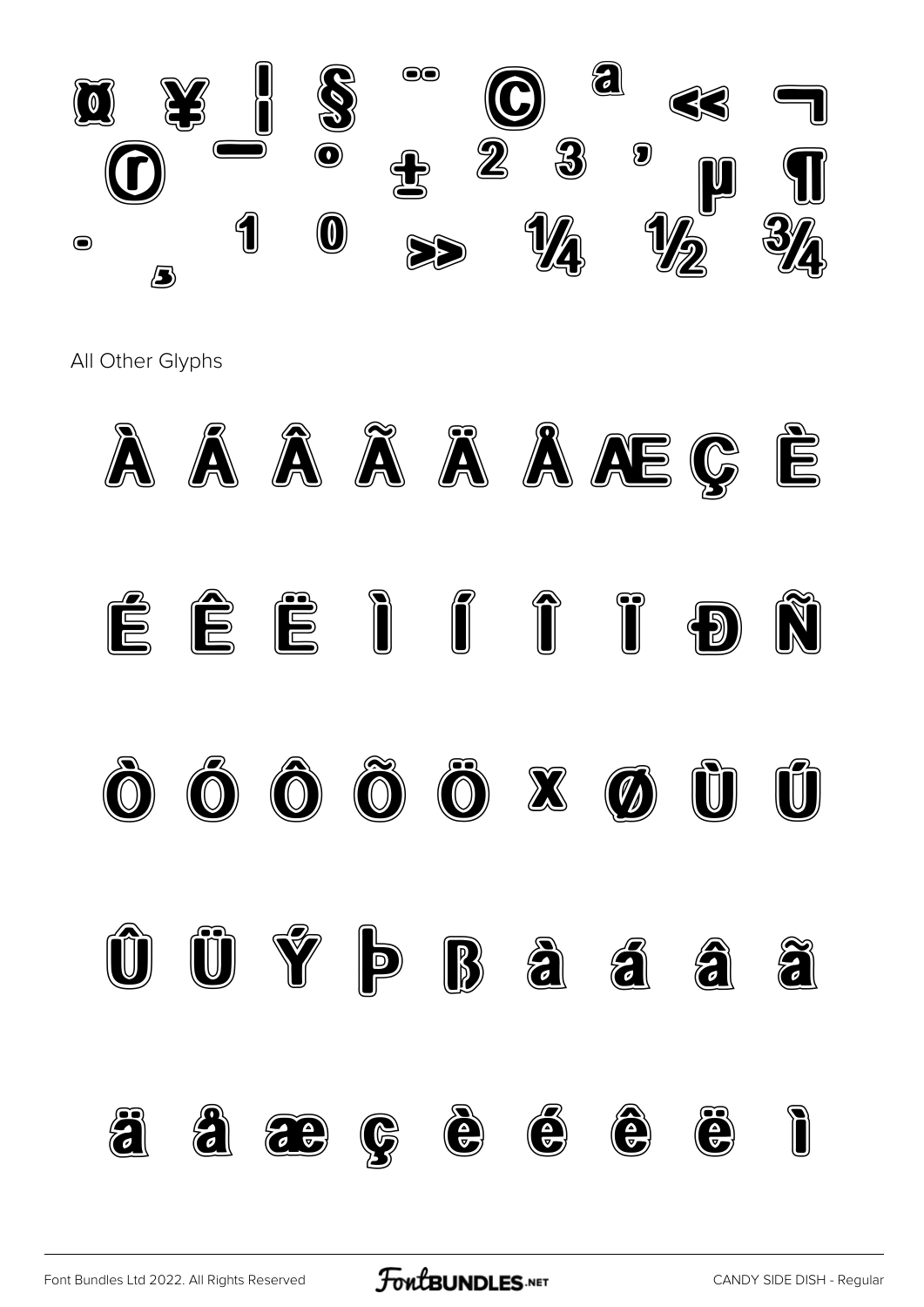

All Other Glyphs



FontBUNDLES.NET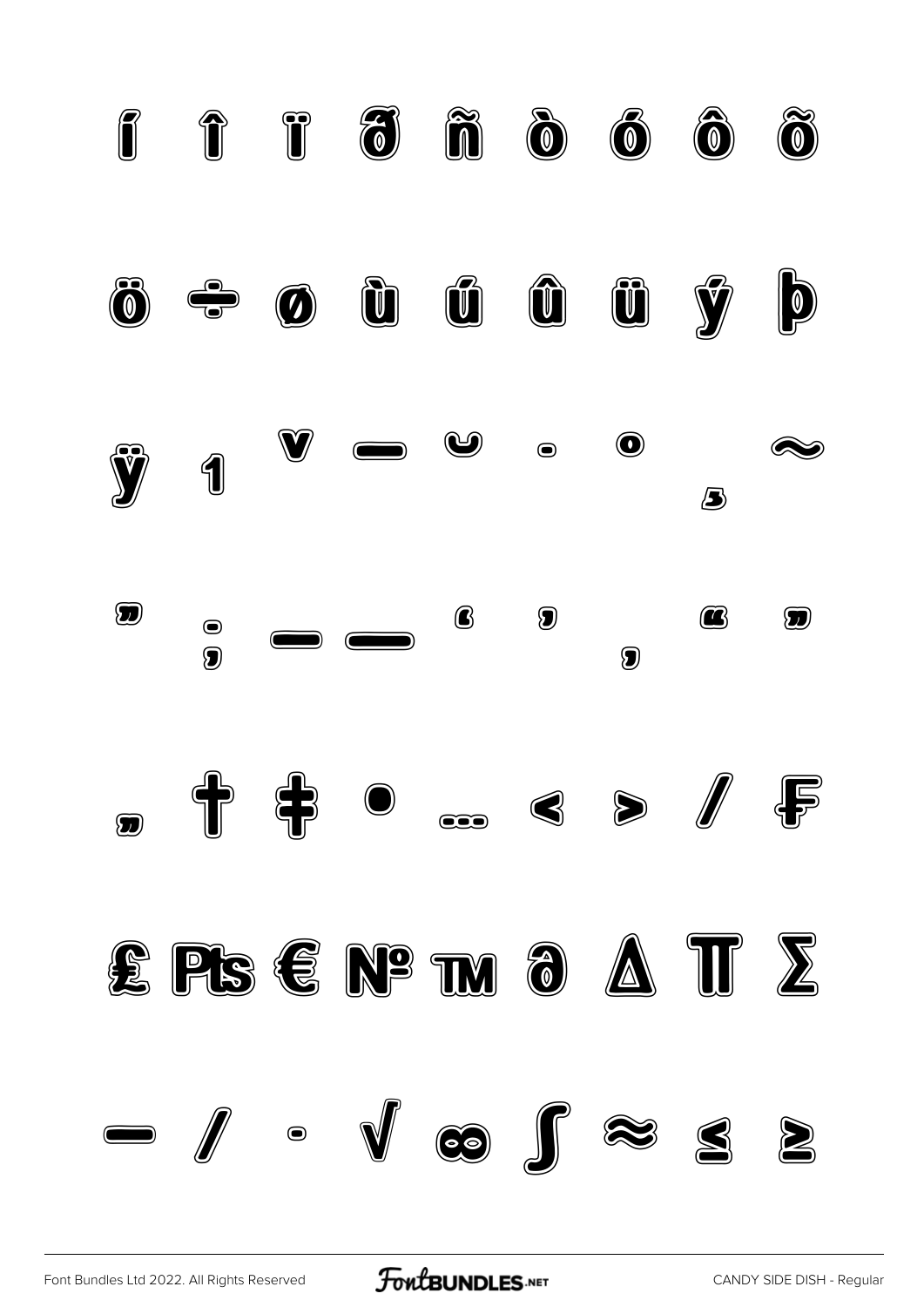

[Font Bundles Ltd 2022. All Rights Reserved](https://fontbundles.net/) **FoutBUNDLES.NET** [CANDY SIDE DISH - Regular](https://fontbundles.net/)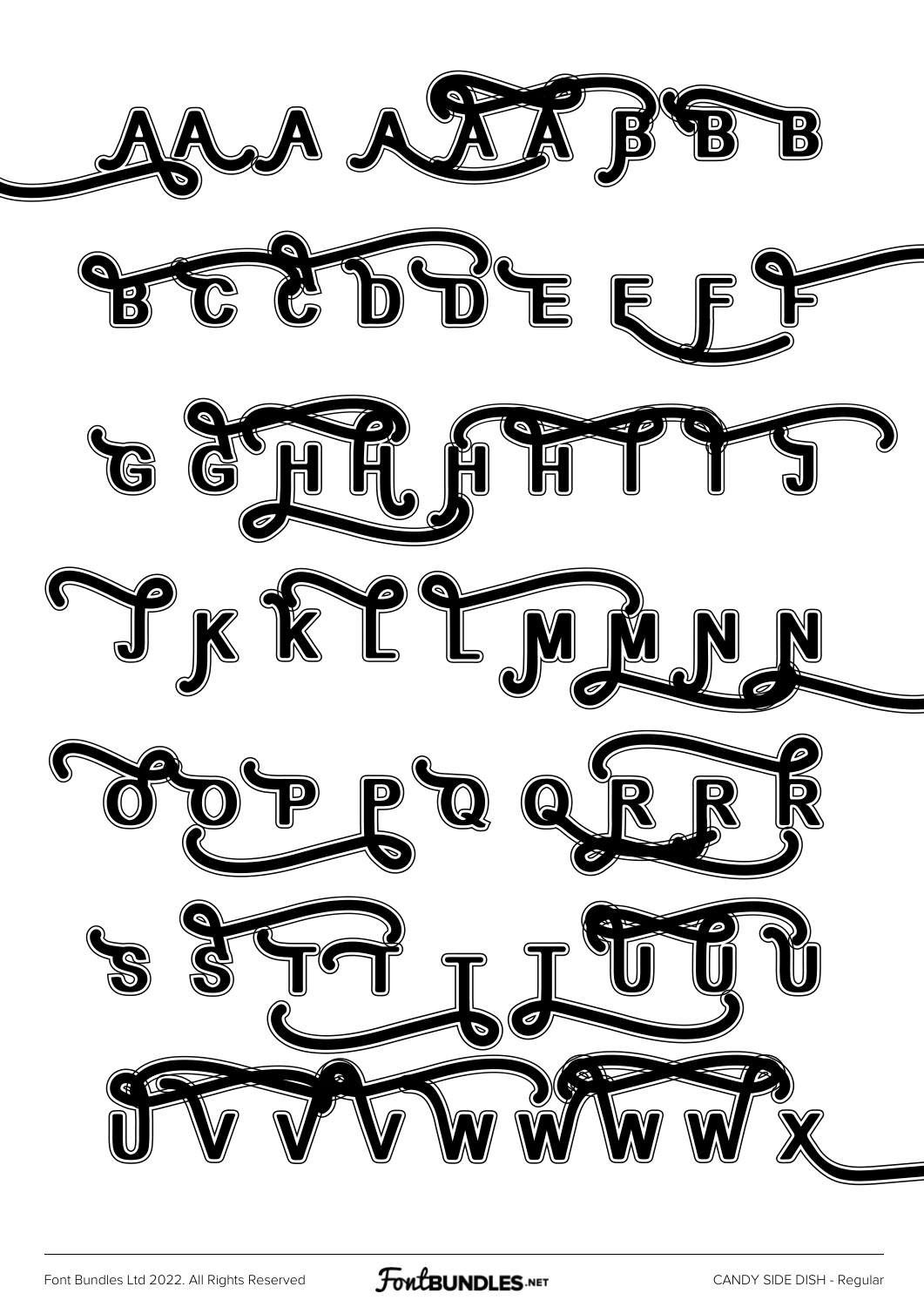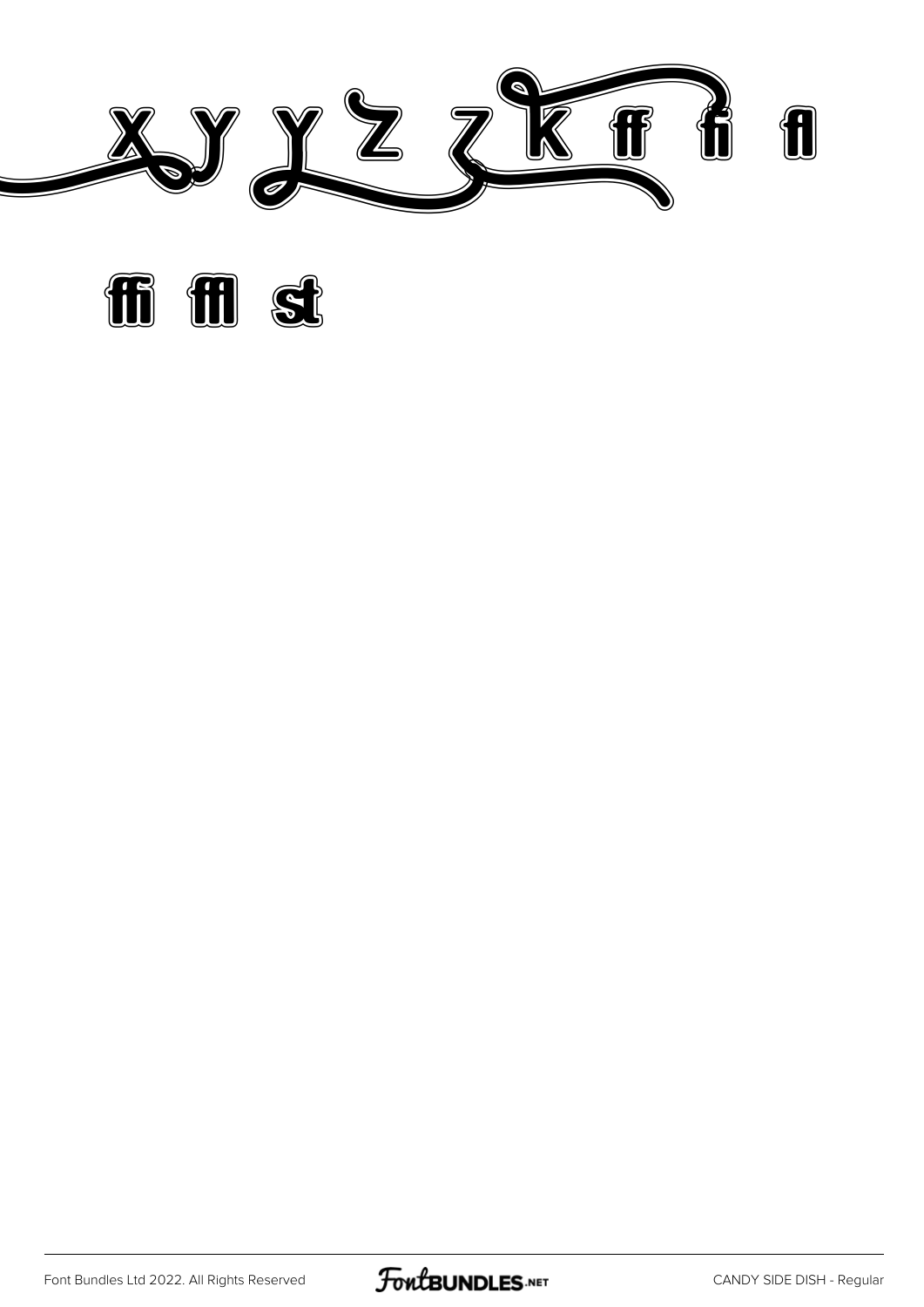



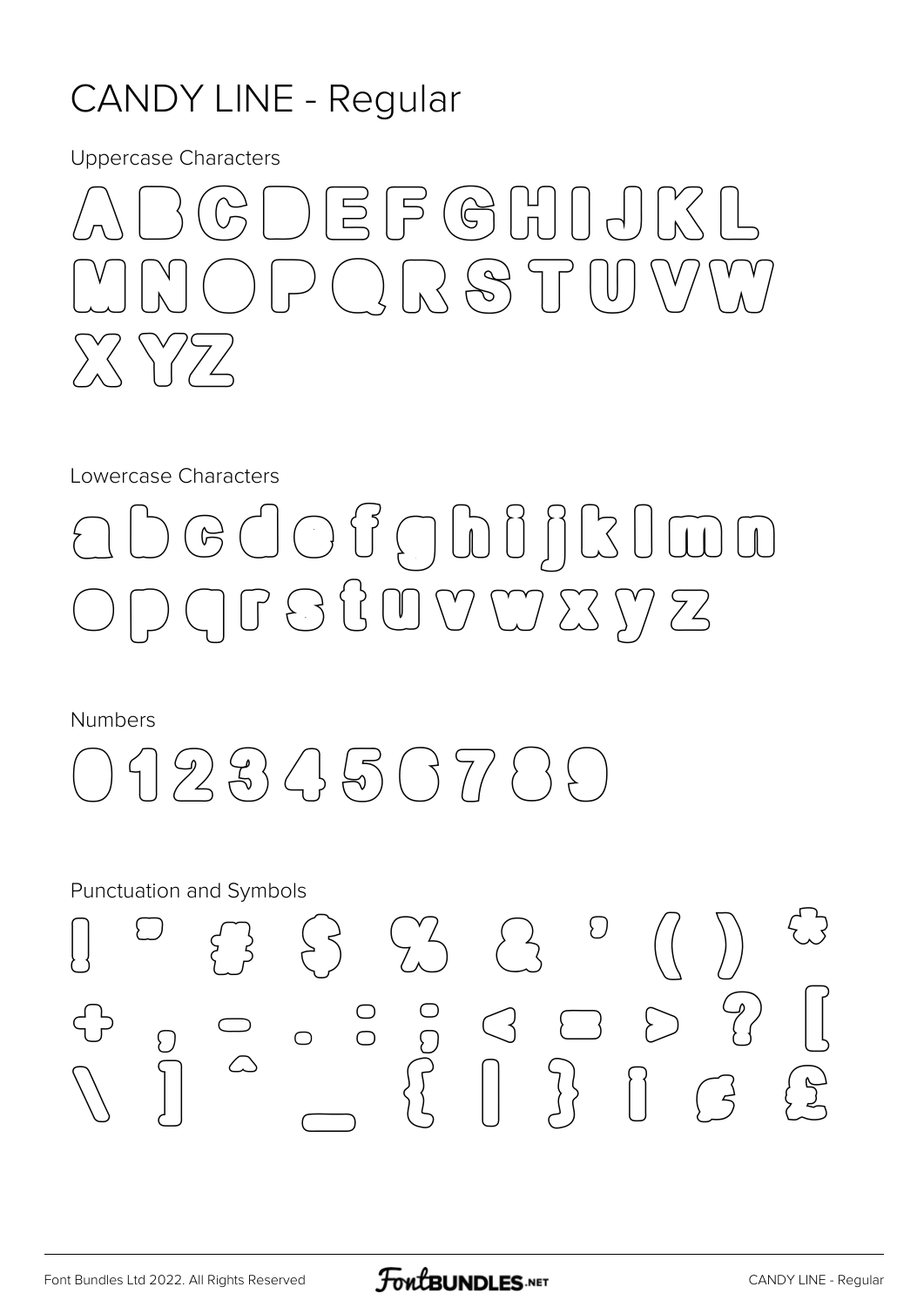#### **CANDY LINE - Regular**

**Uppercase Characters** 



Lowercase Characters

### G J O J O D J J R I W D GBBCOVWZYZ

**Numbers** 



**Punctuation and Symbols** 

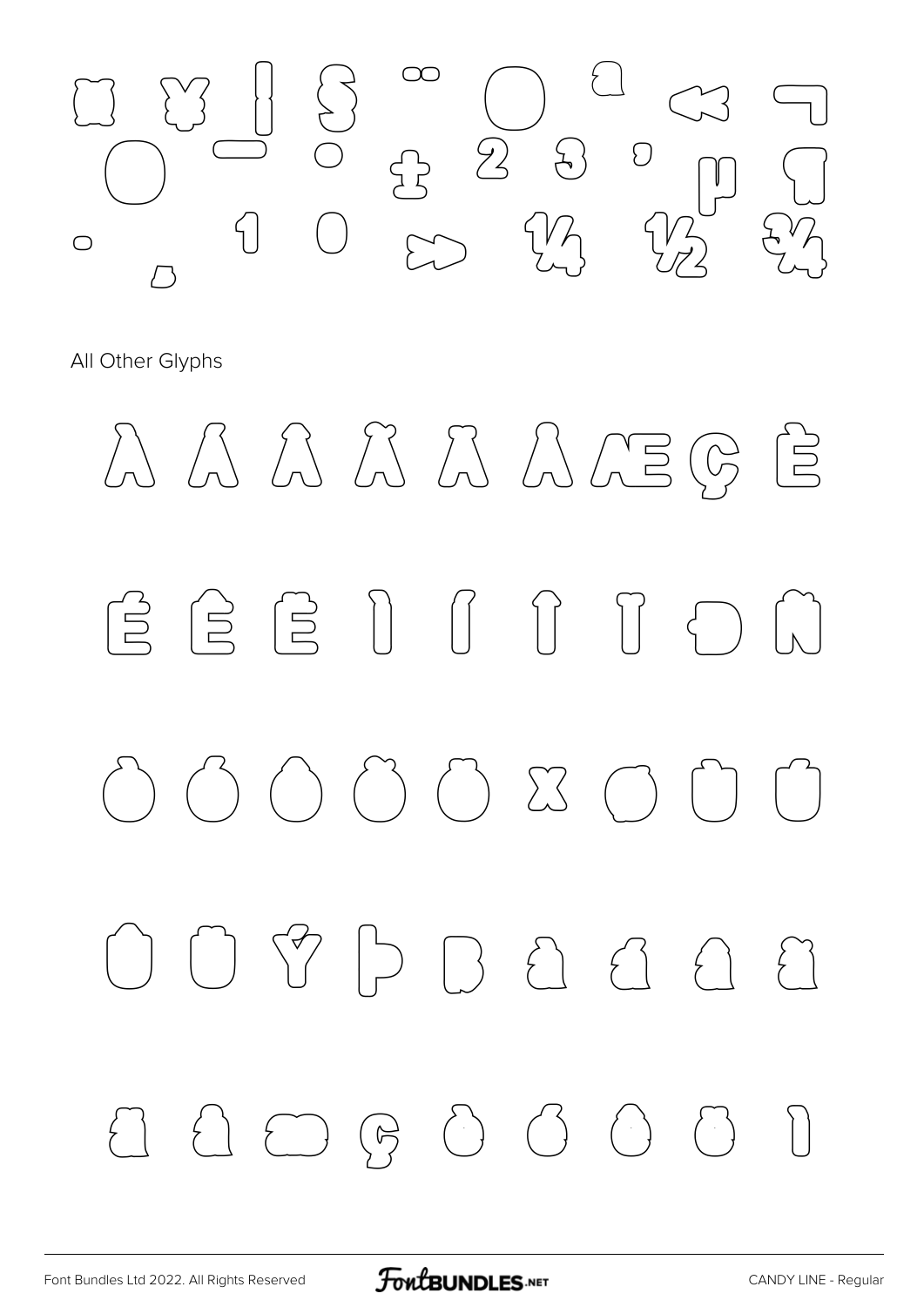

All Other Glyphs

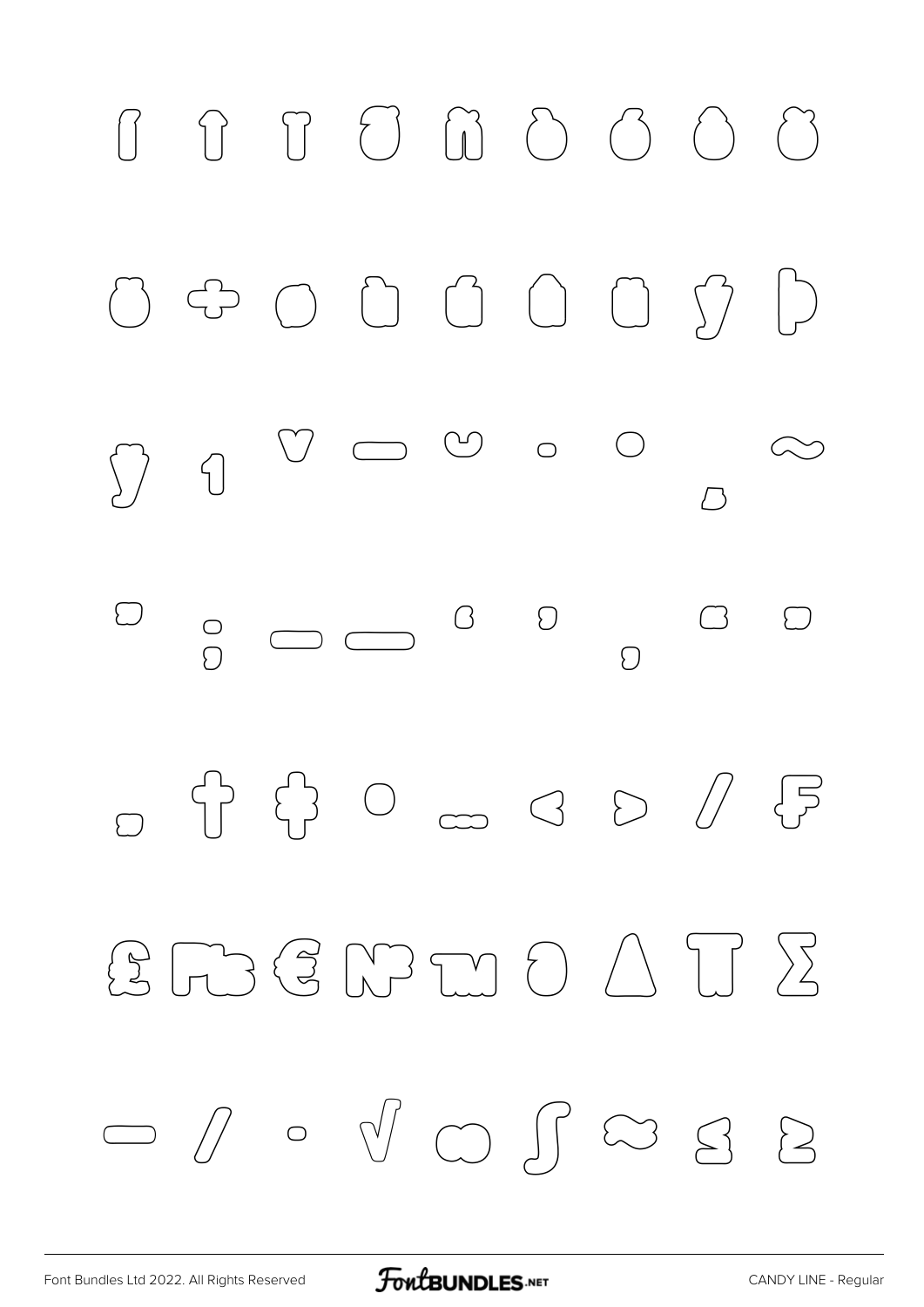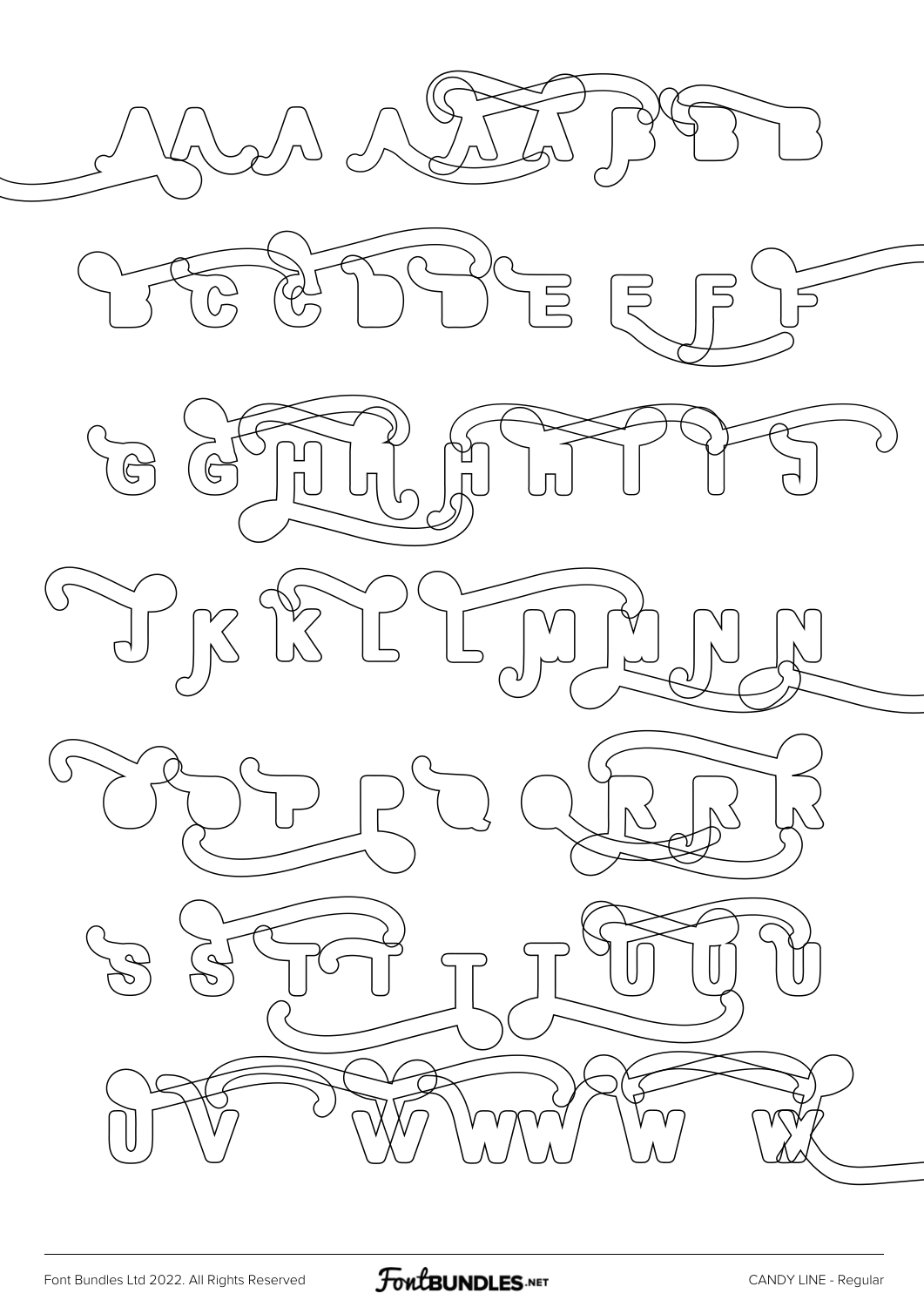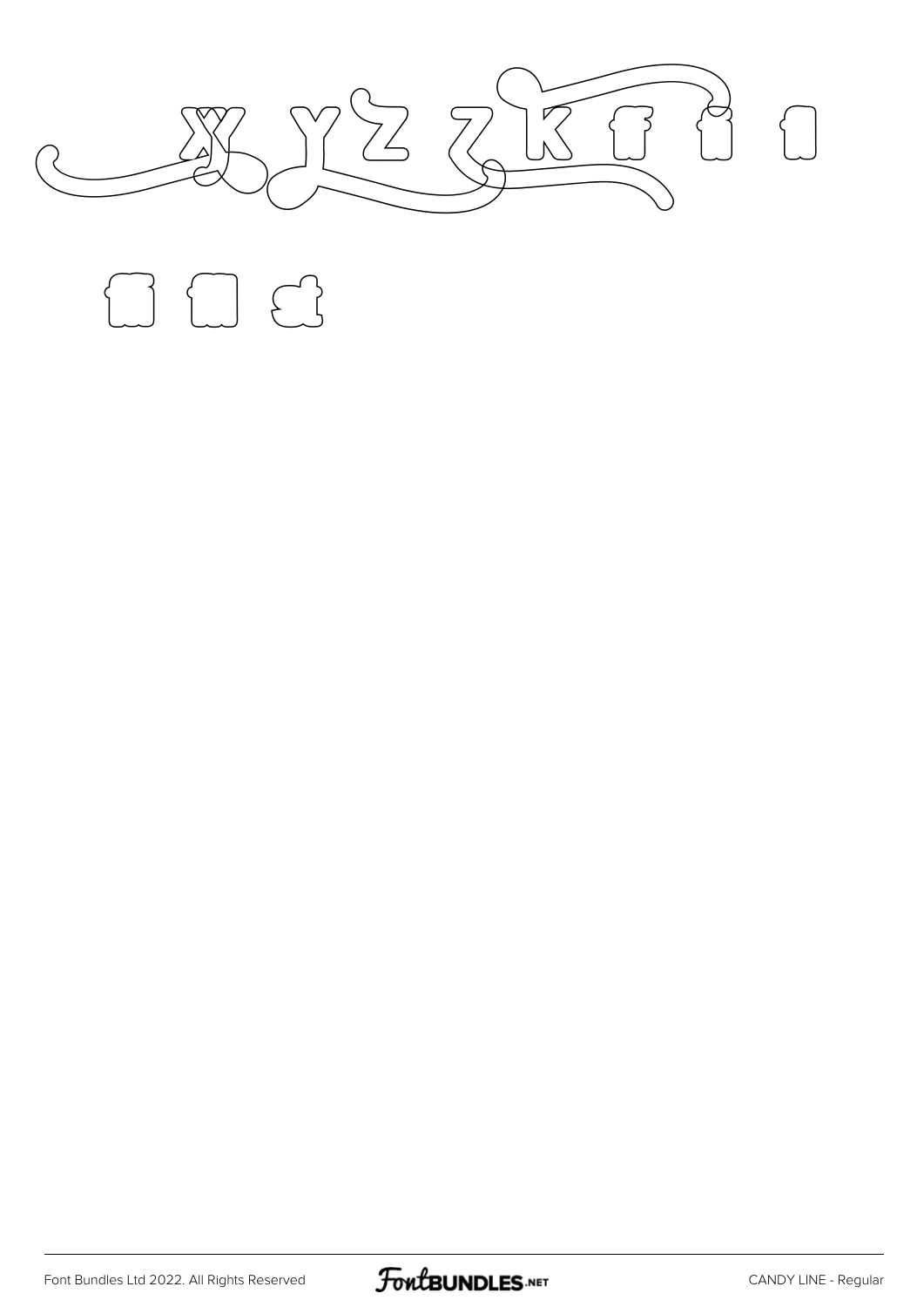

 $f \cup f$ 

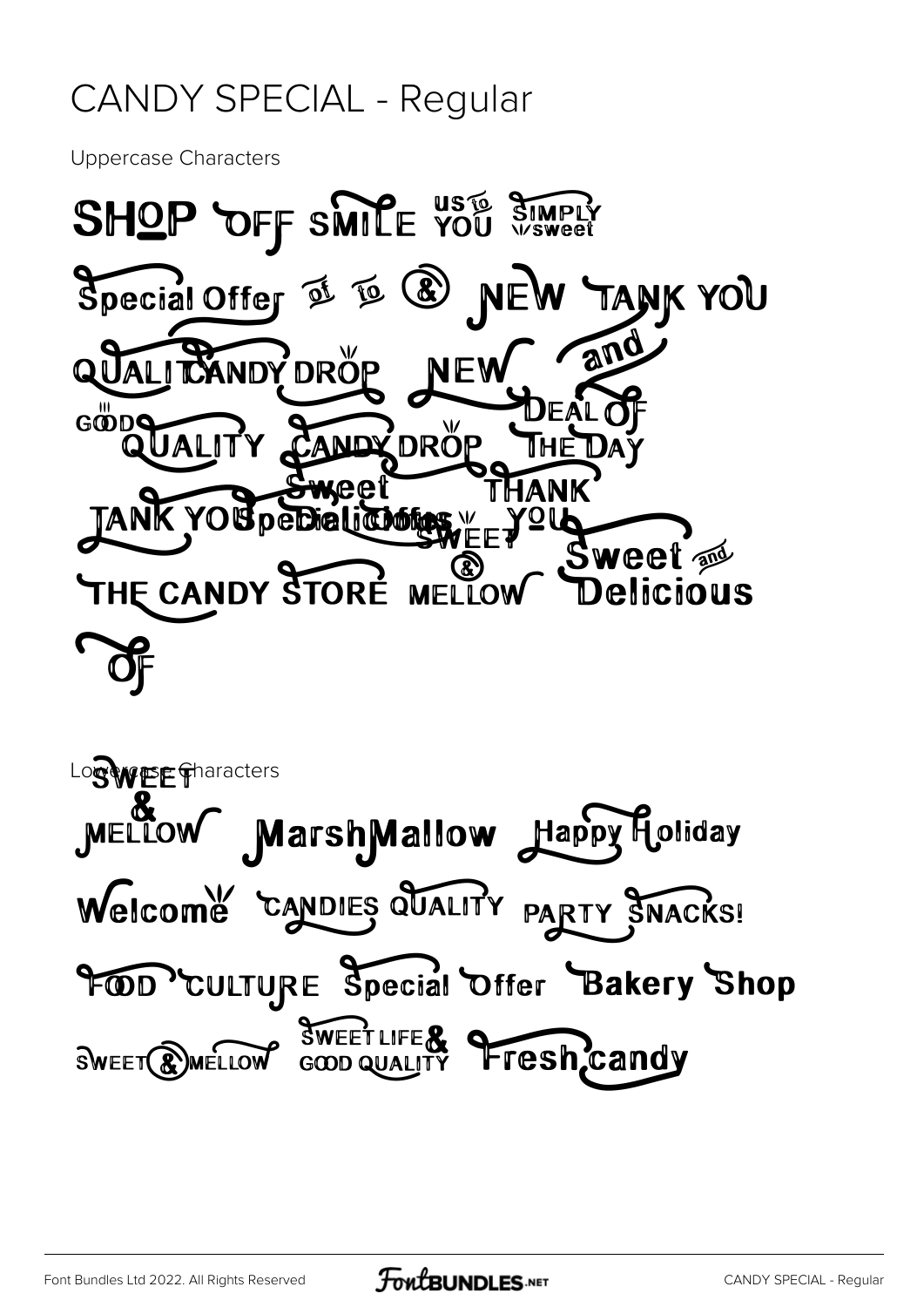#### CANDY SPECIAL - Regular

Uppercase Characters



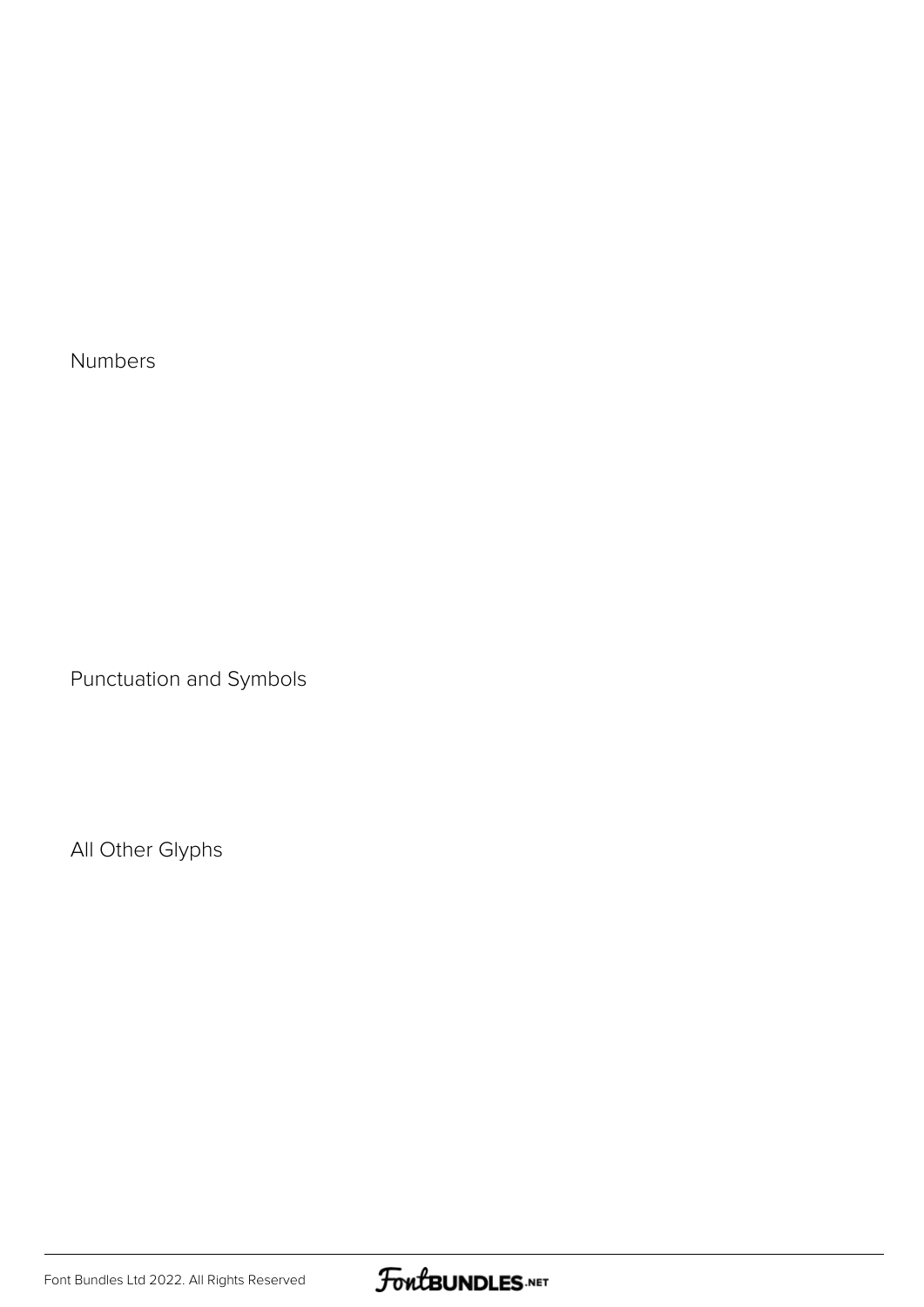Numbers

Punctuation and Symbols

All Other Glyphs

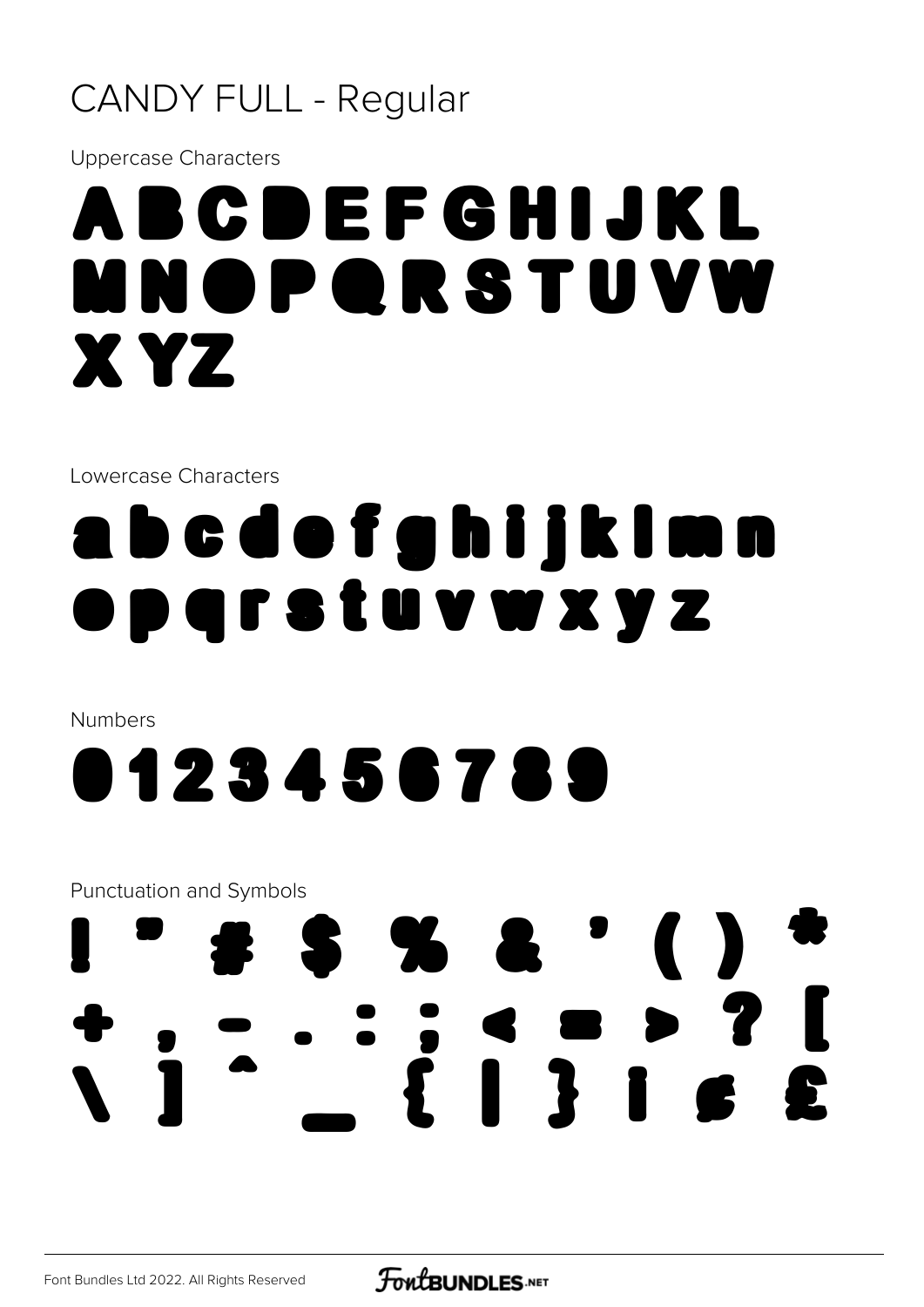#### **CANDY FULL - Regular**

**Uppercase Characters** 

### ABCDEFGHIJKL MNOPQRSTUVW X YZ

Lowercase Characters

### abcdofghijkimn parstuvwxyz

**Numbers** 



**Punctuation and Symbols** 

### **SS&'() EIBIGE**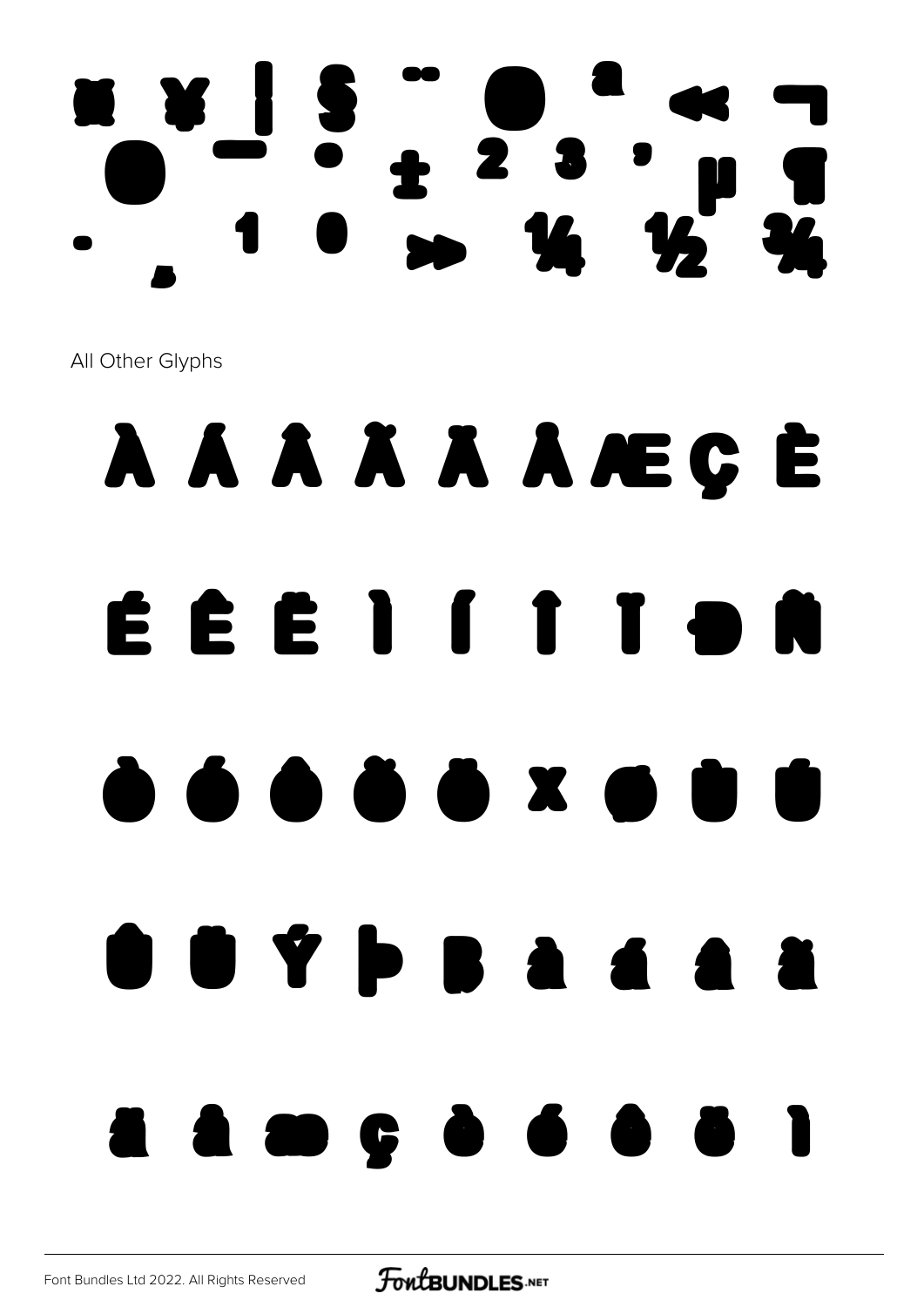# **16 16 36**

All Other Glyphs

### A A A A A A AE Ç E EEEIIIION  $\begin{array}{c} \hline \bullet\bullet\bullet\bullet\bullet\end{array}$  $\Box$ **22356668**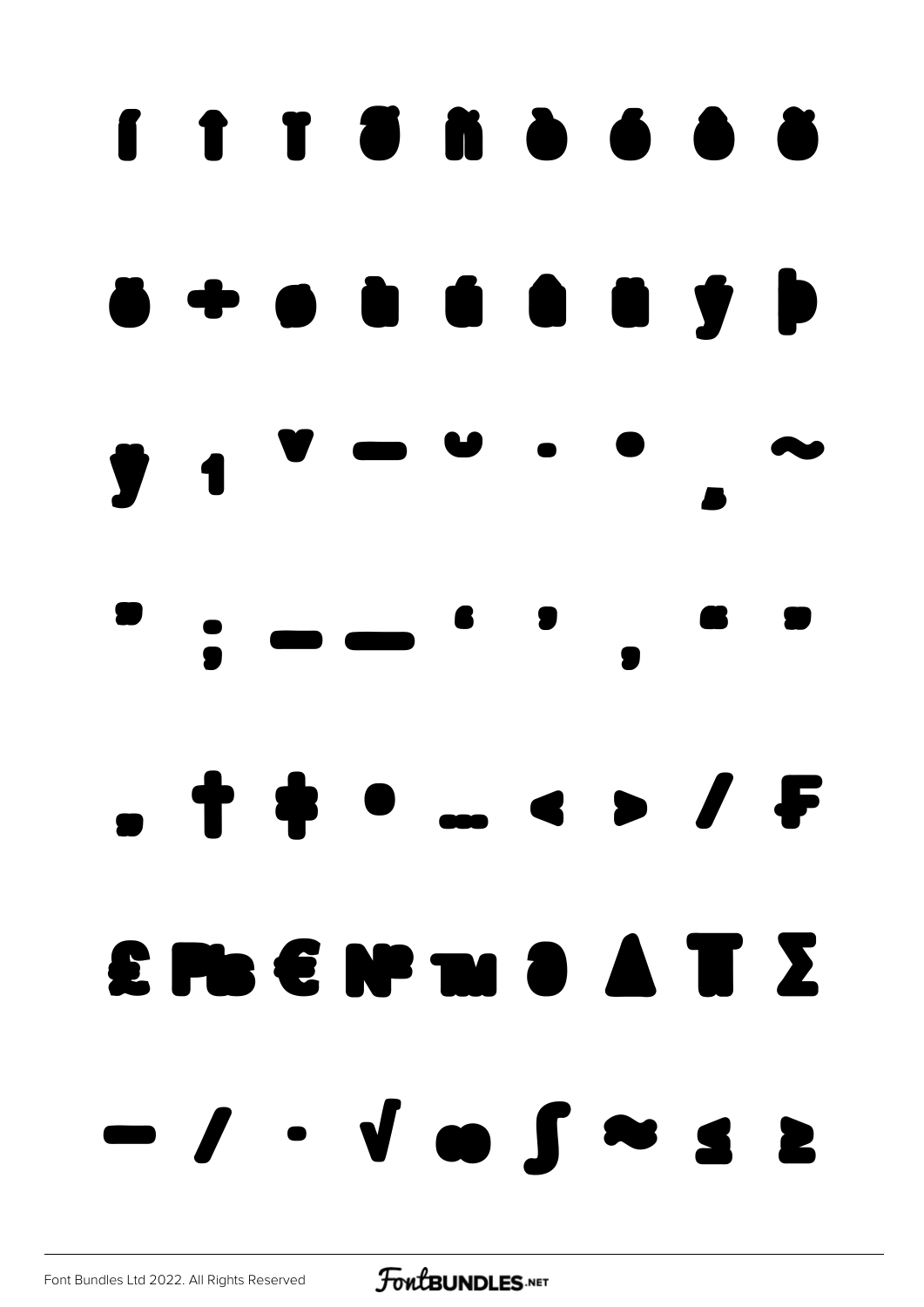### í î ï ð ñ ò ó ô õ  $\bullet$   $\bullet$   $\bullet$   $\bullet$   $\bullet$   $\bullet$   $\bullet$   $\bullet$  $\bullet$   $\bullet$   $\bullet$  $\blacksquare$  $\overline{\phantom{a}}$  $\bullet$   $\bullet$  $\bullet$   $\bullet$ ' " " " † ‡ • … ‹ › ⁄ ₣ ₤₧€ №™ ∂ ∆ ∏ ∑ − ∕ ∙ √ ∞ ∫ ≈ ≤ ≥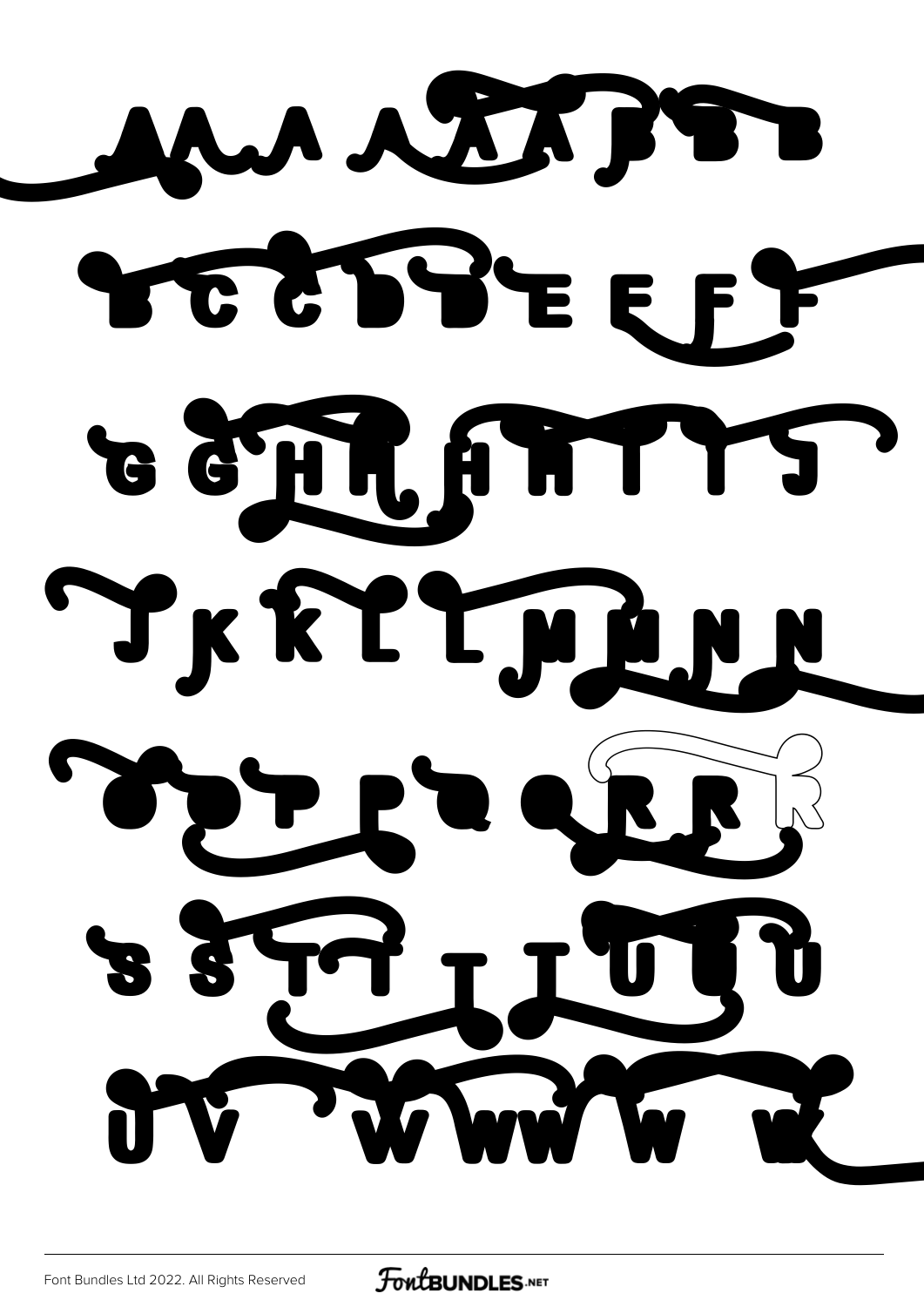

**FoutBUNDLES**.NET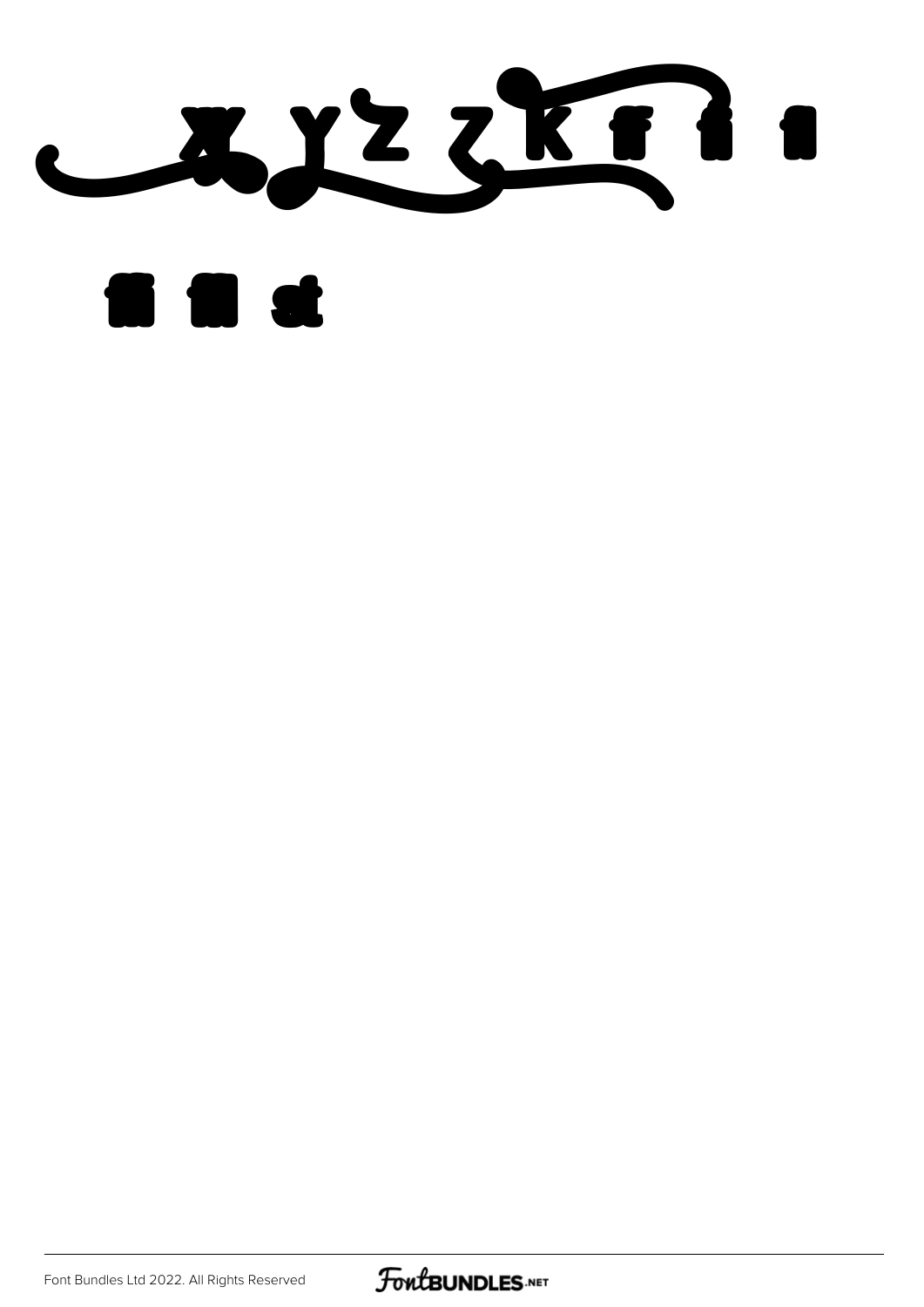



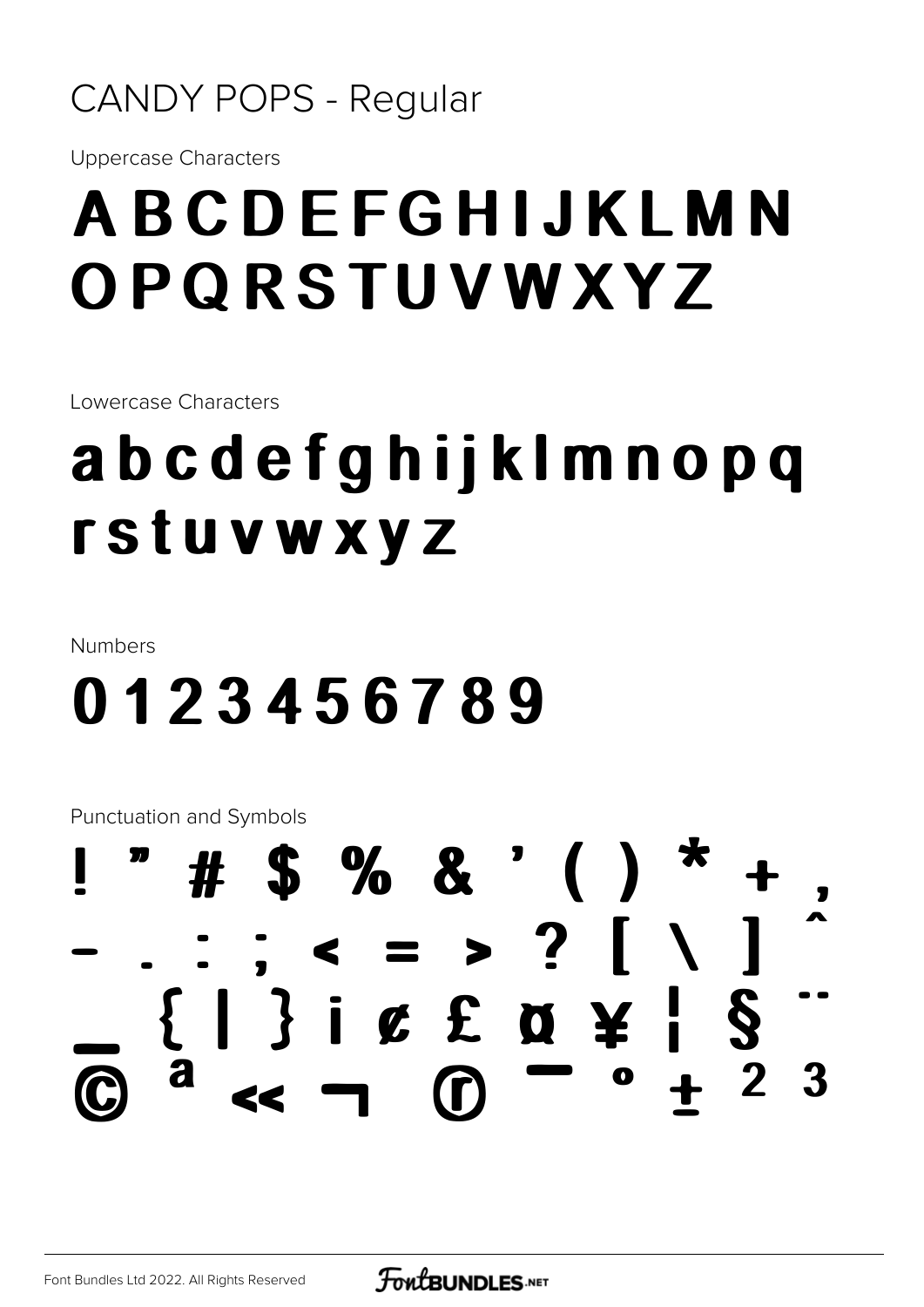#### **CANDY POPS - Regular**

**Uppercase Characters** 

### ABCDEFGHIJKLMN OPQRSTUVWXYZ

Lowercase Characters

### abcdefghijklmnopq **rstuvwxyz**

Numbers

### 0123456789

**Punctuation and Symbols** 

#### # \$ % & ' ( )  $\le$  = > ? | \  $\{ | \}$  i  $\&$  £  $\&$   $\&$   $\}$  $\frac{1}{2}$ -3  $\bullet$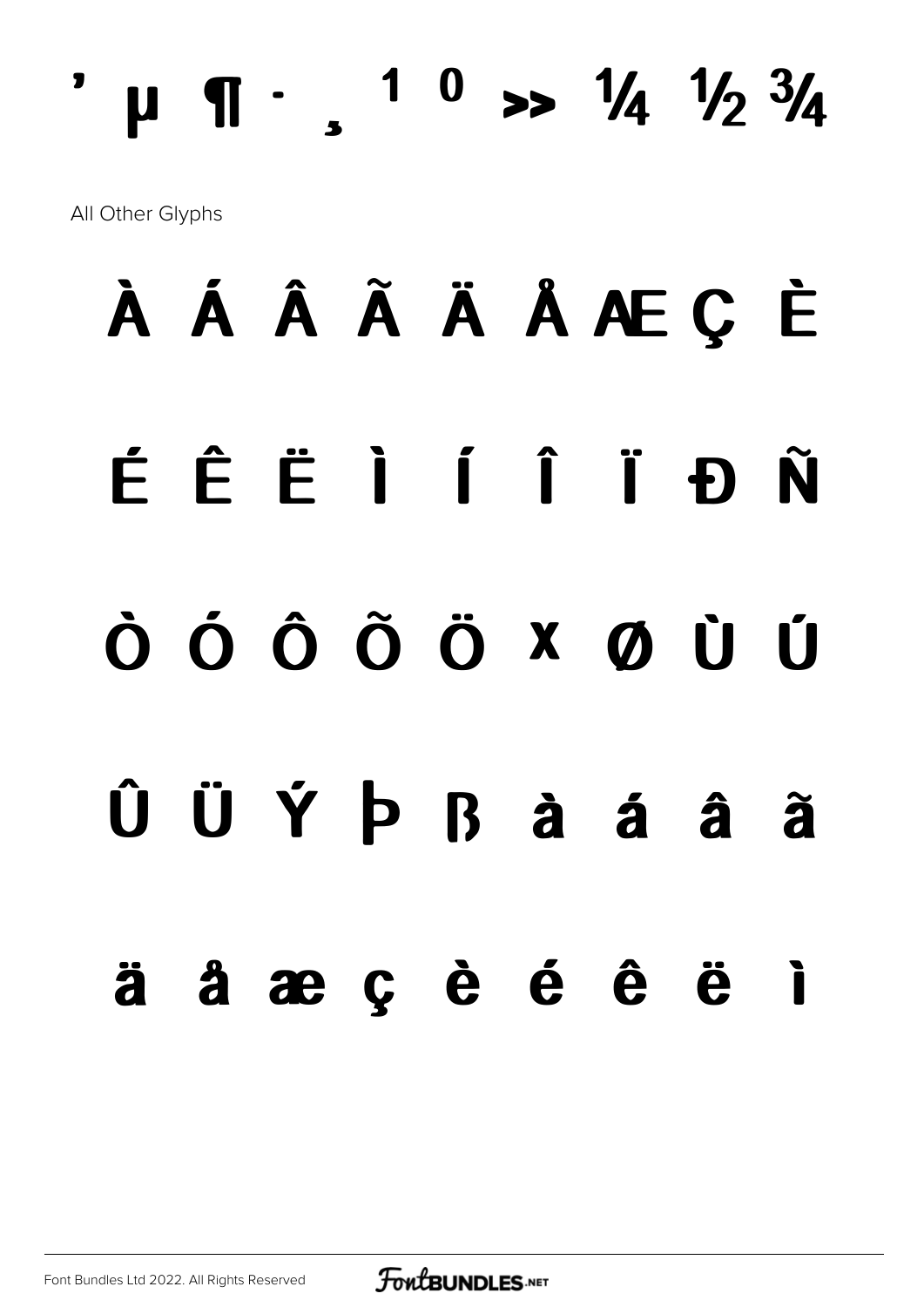### $\mu$  T ·  $\mu$  <sup>1</sup> 0 >>  $\frac{1}{4}$   $\frac{1}{2}$   $\frac{3}{4}$ All Other Glyphs

# À Á Â Ã Ä Å Å Æ Ç È ÉÊËIÍÎÏĐÑ ÒÓÔÕÖXØÙÚ ÛÜÝÞ Ràáâã äåæçèéê ë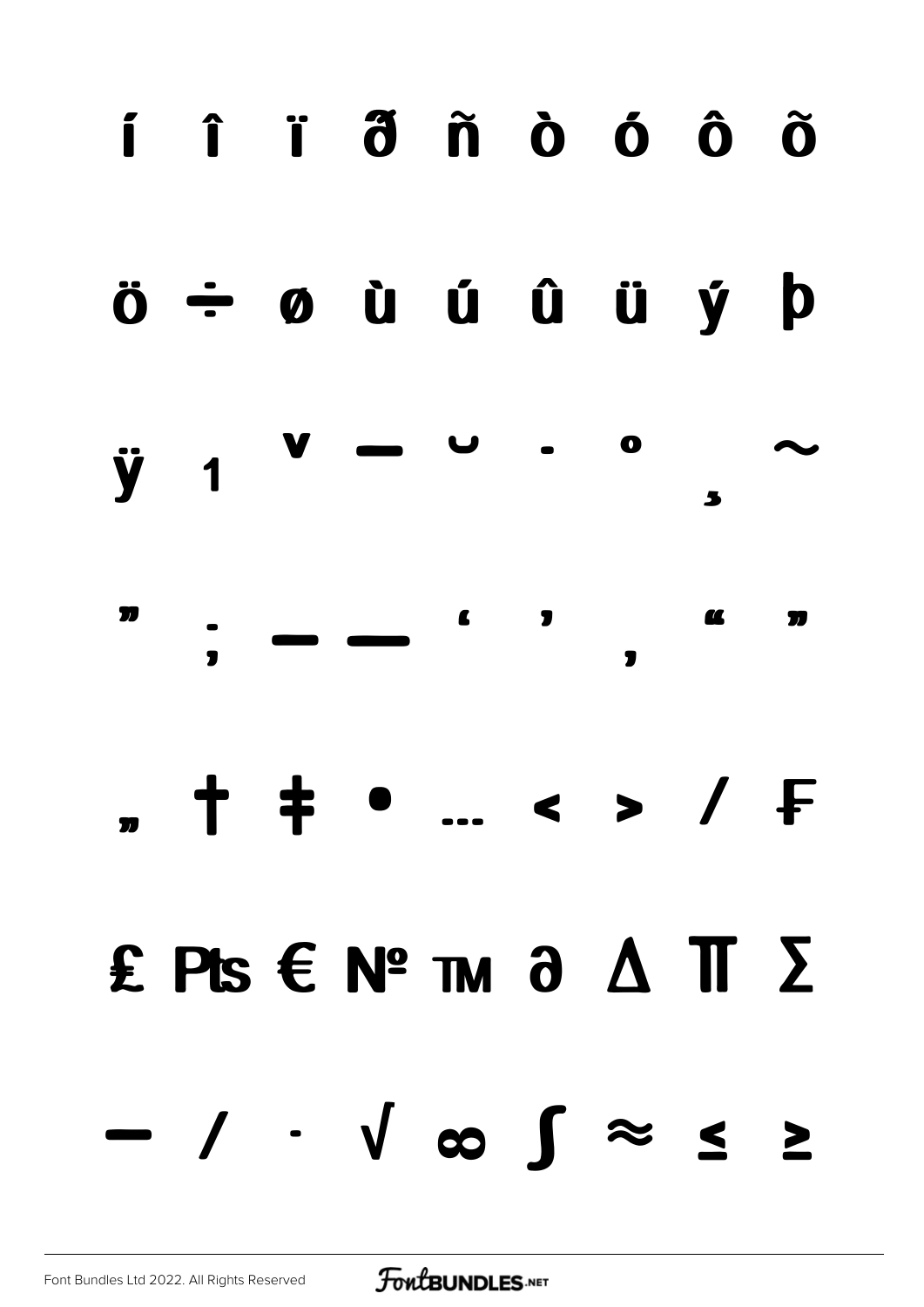### í î ï ð ñ ò ó ô õ

#### ö ÷ ø ù ú û ü ý þ

#### ÿ ı ˇ ˉ ˘ ˙ ˚ ˛  $\ddot{\phantom{0}}$

#### ˝ ; – —  $\blacksquare$ ' " "

# " † ‡ • … ‹ › ⁄ ₣

### ₤ ₧ € № ™ ∂ ∆ ∏ ∑

## − ∕ ∙ √ ∞ ∫ ≈ ≤ ≥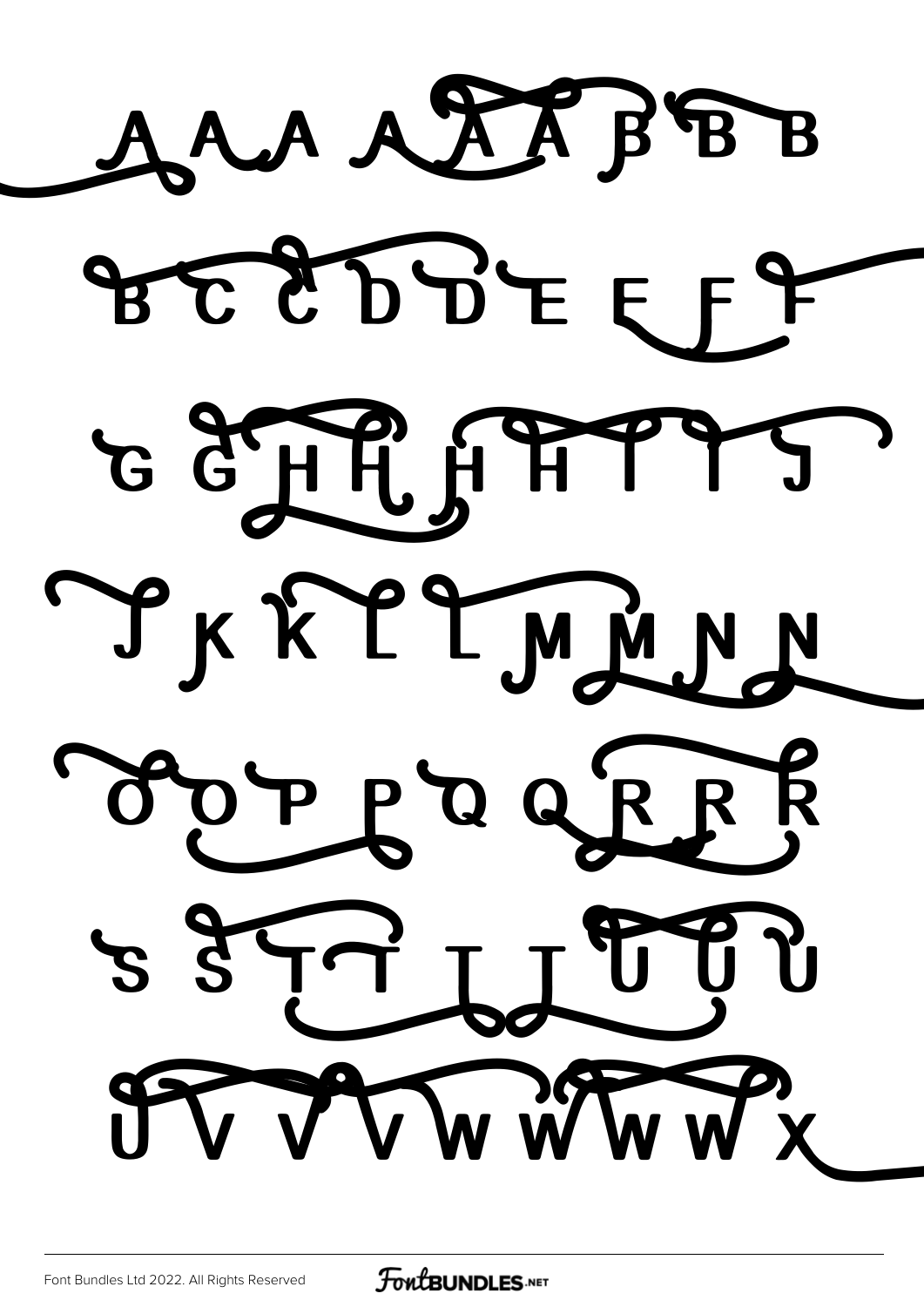